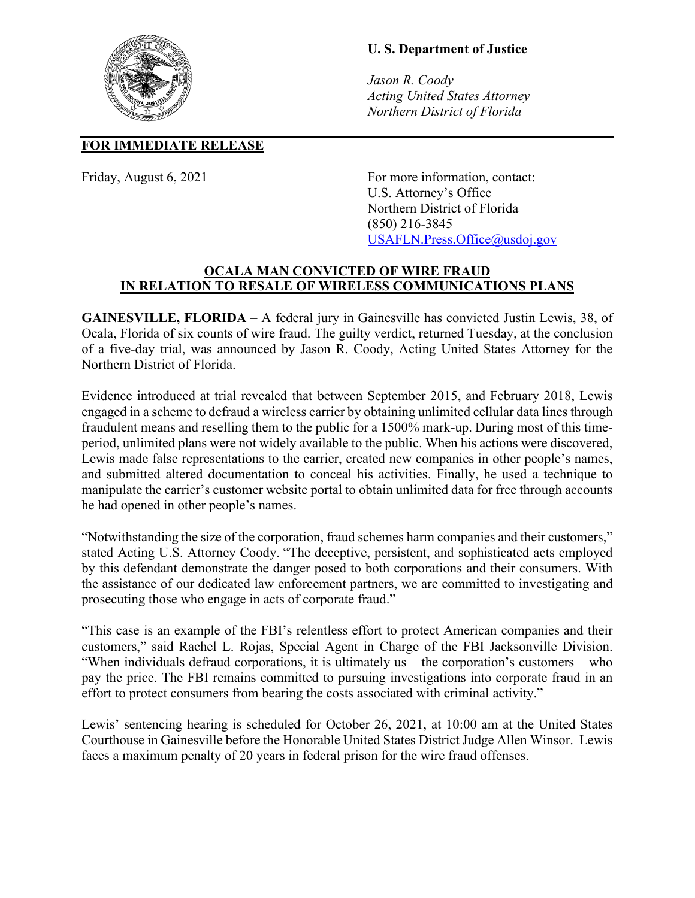## **U. S. Department of Justice**

*Jason R. Coody Acting United States Attorney Northern District of Florida*

## **FOR IMMEDIATE RELEASE**

Friday, August 6, 2021 For more information, contact: U.S. Attorney's Office Northern District of Florida (850) 216-3845 [USAFLN.Press.Office@usdoj.gov](mailto:USAFLN.Press.Office@usdoj.gov)

## **OCALA MAN CONVICTED OF WIRE FRAUD IN RELATION TO RESALE OF WIRELESS COMMUNICATIONS PLANS**

**GAINESVILLE, FLORIDA** – A federal jury in Gainesville has convicted Justin Lewis, 38, of Ocala, Florida of six counts of wire fraud. The guilty verdict, returned Tuesday, at the conclusion of a five-day trial, was announced by Jason R. Coody, Acting United States Attorney for the Northern District of Florida.

Evidence introduced at trial revealed that between September 2015, and February 2018, Lewis engaged in a scheme to defraud a wireless carrier by obtaining unlimited cellular data lines through fraudulent means and reselling them to the public for a 1500% mark-up. During most of this timeperiod, unlimited plans were not widely available to the public. When his actions were discovered, Lewis made false representations to the carrier, created new companies in other people's names, and submitted altered documentation to conceal his activities. Finally, he used a technique to manipulate the carrier's customer website portal to obtain unlimited data for free through accounts he had opened in other people's names.

"Notwithstanding the size of the corporation, fraud schemes harm companies and their customers," stated Acting U.S. Attorney Coody. "The deceptive, persistent, and sophisticated acts employed by this defendant demonstrate the danger posed to both corporations and their consumers. With the assistance of our dedicated law enforcement partners, we are committed to investigating and prosecuting those who engage in acts of corporate fraud."

"This case is an example of the FBI's relentless effort to protect American companies and their customers," said Rachel L. Rojas, Special Agent in Charge of the FBI Jacksonville Division. "When individuals defraud corporations, it is ultimately us – the corporation's customers – who pay the price. The FBI remains committed to pursuing investigations into corporate fraud in an effort to protect consumers from bearing the costs associated with criminal activity."

Lewis' sentencing hearing is scheduled for October 26, 2021, at 10:00 am at the United States Courthouse in Gainesville before the Honorable United States District Judge Allen Winsor. Lewis faces a maximum penalty of 20 years in federal prison for the wire fraud offenses.